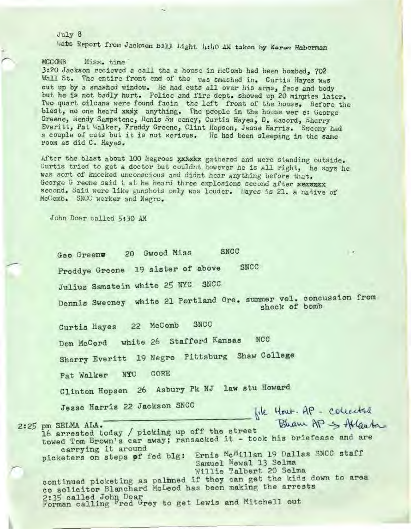$July 8$ wats Report from Jackson Bill Light 4:40 AM taken by Karen Haberman

**MCCONB** Miss. time 3:20 Jackson recieved a call tha a house in HcComb had been bombed, 702 Wall St. The entire front end of the was smashed in. Curtis Hayes was cut up by a smashed window. He had cuts all over his arms, face and body but he is not badly hurt. Police and fire dept. showed up 20 minutes later. Two quart cilcans were found facin the left front of the house. Before the blast, no one heard xxxx anything. The people in the house wer e: George Greene, Hendy Sampstene, Denis Sw eeney, Curtis Hayes, D. Macord, Sherry Everitt, Pat Walker, Freddy Greene, Clint Hopson, Jesse Harris. Sweeny had a couple of cuts but it is not serious. He had been sleeping in the same room as did C. Hayes.

After the blast about 100 Negroes xxxxxx gathered and were standing outside. Curtis tried to get a doctor but couldnt however he is all right, he says he was sort of knocked unconscious and didnt hear anything before that. George G reene said t at he heard three explosions second after xwamwxx second. Said were like gunshots only was louder. Hayes is 21. a native of McComb. SNCC worker and Negro.

John Doar called 5:30 AM

**SNCC** 20 Gwood Miss  $\mathcal{A}$ Geo Greenw Freddye Greene 19 sister of above **SNCC** Julius Samstein white 25 NYC SNCC Dennis Sweeney white 21 Portland Ore. summer vol. concussion from shock of bomb Curtis Hayes 22 McComb SNCC Don McCord white 26 Stafford Kansas **NCC** Sherry Everitt 19 Negro Pittsburg Shaw College CORE Pat Walker NYC Clinton Hopsen 26 Asbury Pk NJ law stu Howard Jesse Harris 22 Jackson SNCC - file Hout. AP - collected 2:25 pm SELMA ALA. 16 arrested today / picking up off the street towed Tom Brown's car away; ransacked it - took his briefcase and are carrying it around picketers on steps of fed blg: Ernie McMillan 19 Dallas SNCC staff Samuel Newal 13 Selma Willie Talbert 20 Selma continued picketing as palined if they can get the kids down to area co solicitor Blanchard McLeod has been making the arrests 2:35 called John Doar<br>Forman calling Fred Grey to get Lewis and Mitchell out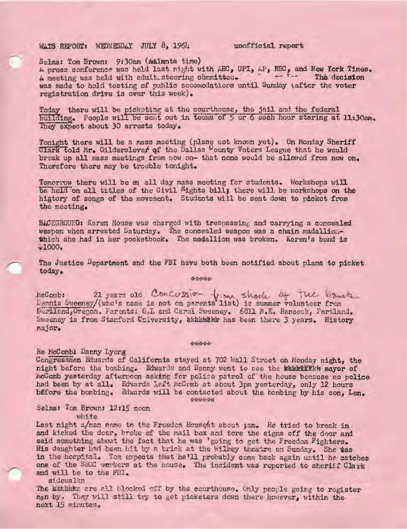## WATS REPORT: WEDNESDAY JULY 8, 1964

unofficial report

Selma: Tom Brown: 9:30am (Atlanta time)

A press conference was held last night with ABC, UPI, AP, NBC, and New York Times. A meeting was held with adult steering committee. The fire The decision was made to hold testing of public accomodations until Sunday (after the voter registration drive is over this week).

Today there will be picketing at the courthouse, the jail and the federal building. People will be sent out in teams of 5 or 6 each hour staring at 11:30am. They expect about 30 arrests today.

Tonight there will be a mass meeting (place not known yet). On Monday Sheriff Clark told Mr. Gilderslever of the Dallas County Voters League that he would break up all mass meetings from now on- that none would be allowed from now on. Therefore there may be trouble tonight.

Tomorrow there will be an all day mass meeting for students. Workshops will be held on all titles of the Civil Rights bill; there will be workshops on the higtory of songs of the movement. Students will be sent down to picket from the meeting.

BACKGROUND: Karen House was charged with trespassing and carrying a concealed weapon when arrested Saturday. The concealed weapon was a chain madallionthich she had in her pocketbook. The medallion was broken. Karen's bond is  $-1000.$ 

The Justice Department and the FBI have both been notified about plans to picket today.

4948488

McComb: 21 years old Concussion from shock of the bouch Boriland. Oregon, Parents: G.L and Carol Sweeney. 6811 N.E. Hancock, Portland. Sweeney is from Stanford Criversity, kkhkhkkk has been there 3 years. History major.

## 9191-91-91-91-

Re McCombi Danny Lyong

Congressman Edwards of California stayed at 702 Wall Street on Monday night, the night before the bombing. Edwards and Danny went to see the kheriffich mayor of mcComb yesterday afternoon asking for police patrol of the house because no police had been by at all. Edwards left McComb at about 3pm yesterday, only 12 hours before the bombing. Edwards will be contacted about the bombing by his son, Len.

49-140-2-2-2

Selma: Tom Brown: 12:15 noon

white

Last night a/man came to the Freedom Househt about ; am. He tried to break in and kicked the door, broke of the mail box and tore the signs off the door and said something about the fact that he was 'going to get the Freedom Fighters. His daughter had been hit by a brick at the Wilbey theatre on Sunday. She was in the hospital. Tom expects that he'll probably come back again until he catches one of the SNCC workers at the house. The incident was reported to sheriff Clark and will be to the FBI.

sidewalks

The Exhanse are all blocked off by the courthouse. Only people going to register can by. They will still try to get picketers down there however, within the next 15 minutes.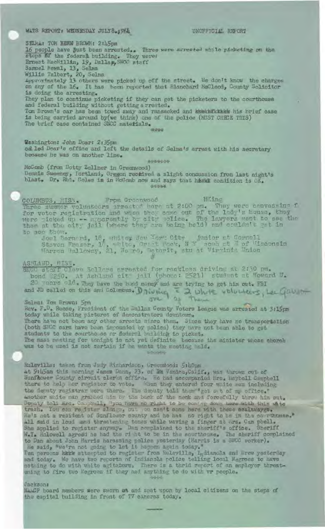WATS REPORT: WEDNESDAY JULY8 3964 UNOFFICIAL REFORT SELMA: TOM RENN BROWN: 2:45pm 16 people have just been arrested. Three were arrested while picketing on the steps of the federal building. They were: Samuel Mewal, 13, Salma Willie Talbert, 20, Salma<br>Approximately 13 others were picked up off the street. We don't know the charges on any of the 16. It has been reported that Blanchard NaCleod, County Solicitor is doing the arresting. They plan to continue picketing if they can get the picketers to the courthouse and federal building without getting a rrested. Tom Brown's car has been towed away and ransacked and buskhallethink his brief case is being carried around by (we think) one of the police (NUST CHECK THIS) The brief case contained SNCC materials. **SELECTE** Washington: John Doar: 2:35pm called Doar's office and left the details of Selma's arrest with his secretary because he was on another line. \*\*\*\*\*\*\* McComb (from Dotty Zellner in Greenwood) Dennis Sweeney, Fortland, Orggon received a slight conquesion from last night's blast. Dr. Rbt. Coles is in McComb now and says that heaks condition is OK. diversion. COLUMBUS, 1185, From Granwood Ming Wing<br>Three summer volunteers arrested here at 2:00 pm. They were canvessing f<br>for voter registration and when they came out of the lawyers went to see the<br>were ticked up -- apparently by to see them. Joel Bernerd, 16, whitem Now York City junior of Cornell<br>Steven Traser, 17, white, Oract Wock, N T song at 7 of Wisconsin<br>Warren Gulloway, 21, Norro, Ogtorit, stu at Virainia Union ASTLAND, MISE.<br>SNGC starf Cleve Selling arrested for recklass driving at 2:30 pm.<br>bond \$250. At Ashland cit joil (phono: 2521) statent at Howard J.<br>20 verre ald. They have the band money and are trying to get him out. WBI and JD called on this and Dolumbus. Driving  $\frac{2}{3}$  where volumes, Lee Gave Rev. F.D. Reese, President of the Dallas County Voters League was arrested at 3:15pm today while taking pictures of demonstrators downtown. There have not been any other arrests since then. Since they have no transportation (both SNCC cars have been impounded by police) they have not been able to get students to the courthouse or dederel building to picket. The mass musting for tenight is not yet definite because the minister whose chorch was to be used is not certain if he wants the meeting held. **BALLARY** Ruleville: taken from Judy Richardson, Ursendood: 5:40pm at 9:45am this worning James Denn, 23. of Bm Ventre, Callif., was thrown cut of Sunflower County circuit clerks office. He had accompanied the taryholl Campbell there to help her register to vote. When they entered four white men including the denuty registrar were there. The denuty told them""get out of my office." Deputy Sold ans. Campbell, "you have no right to be coming down here with this wite He's not a resident of Sunflower county and he has no right to be in the conrthuese." All said in loud and three terling tones while waving a finger at Mrs. Cam pbell.<br>She applied to register anyway. Den complained to the sheriff's office. Sheriff W.I. Holowell agreed he had the right to be in the courthous He said, "we're not going to let it happen again today." Ten persons hark attempted to register from Ruleville, Indianola and Drew yesterday and today. We have two reports of Indianola police telling local Negroes to have

nothing to do with white agitators. There is a thrid report of an amployer threatening to fire two Negroes if they aad anything to do with vr people. 1885%

Jacksons

NAMOR board members were sworn at and spat upon by local citizens on the steps of the capital building in front of TV cameras today.